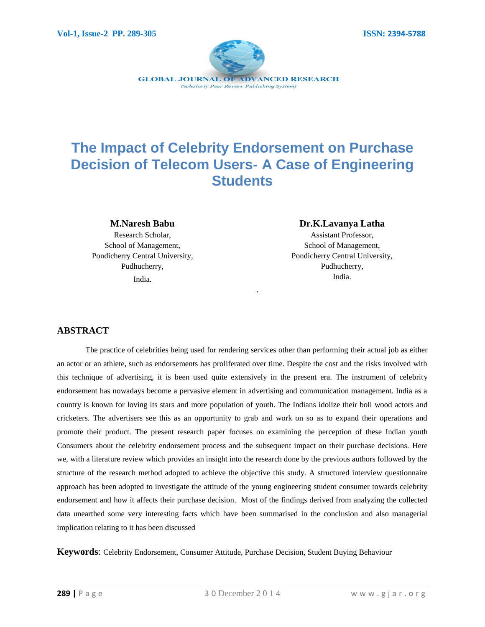

# **The Impact of Celebrity Endorsement on Purchase Decision of Telecom Users- A Case of Engineering Students**

.

#### **M.Naresh Babu**

Research Scholar, School of Management, Pondicherry Central University, Pudhucherry, India.

#### **Dr.K.Lavanya Latha**

Assistant Professor, School of Management, Pondicherry Central University, Pudhucherry, India.

# **ABSTRACT**

The practice of celebrities being used for rendering services other than performing their actual job as either an actor or an athlete, such as endorsements has proliferated over time. Despite the cost and the risks involved with this technique of advertising, it is been used quite extensively in the present era. The instrument of celebrity endorsement has nowadays become a pervasive element in advertising and communication management. India as a country is known for loving its stars and more population of youth. The Indians idolize their boll wood actors and cricketers. The advertisers see this as an opportunity to grab and work on so as to expand their operations and promote their product. The present research paper focuses on examining the perception of these Indian youth Consumers about the celebrity endorsement process and the subsequent impact on their purchase decisions. Here we, with a literature review which provides an insight into the research done by the previous authors followed by the structure of the research method adopted to achieve the objective this study. A structured interview questionnaire approach has been adopted to investigate the attitude of the young engineering student consumer towards celebrity endorsement and how it affects their purchase decision. Most of the findings derived from analyzing the collected data unearthed some very interesting facts which have been summarised in the conclusion and also managerial implication relating to it has been discussed

**Keywords**: Celebrity Endorsement, Consumer Attitude, Purchase Decision, Student Buying Behaviour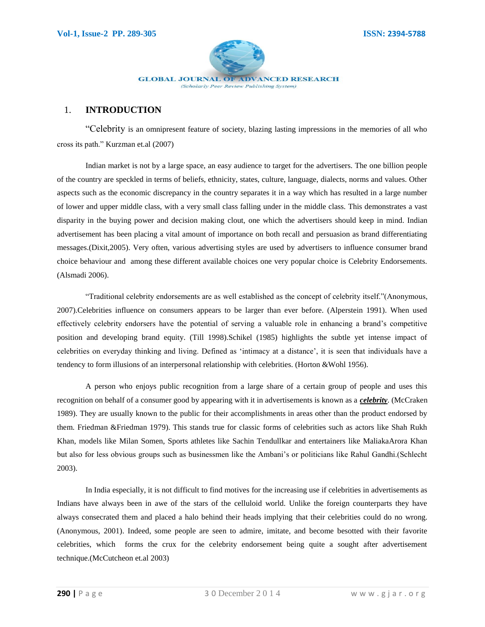

## 1. **INTRODUCTION**

"Celebrity is an omnipresent feature of society, blazing lasting impressions in the memories of all who cross its path." Kurzman et.al (2007)

Indian market is not by a large space, an easy audience to target for the advertisers. The one billion people of the country are speckled in terms of beliefs, ethnicity, states, culture, language, dialects, norms and values. Other aspects such as the economic discrepancy in the country separates it in a way which has resulted in a large number of lower and upper middle class, with a very small class falling under in the middle class. This demonstrates a vast disparity in the buying power and decision making clout, one which the advertisers should keep in mind. Indian advertisement has been placing a vital amount of importance on both recall and persuasion as brand differentiating messages.(Dixit,2005). Very often, various advertising styles are used by advertisers to influence consumer brand choice behaviour and among these different available choices one very popular choice is Celebrity Endorsements. (Alsmadi 2006).

"Traditional celebrity endorsements are as well established as the concept of celebrity itself."(Anonymous, 2007).Celebrities influence on consumers appears to be larger than ever before. (Alperstein 1991). When used effectively celebrity endorsers have the potential of serving a valuable role in enhancing a brand"s competitive position and developing brand equity. (Till 1998).Schikel (1985) highlights the subtle yet intense impact of celebrities on everyday thinking and living. Defined as "intimacy at a distance", it is seen that individuals have a tendency to form illusions of an interpersonal relationship with celebrities. (Horton &Wohl 1956).

A person who enjoys public recognition from a large share of a certain group of people and uses this recognition on behalf of a consumer good by appearing with it in advertisements is known as a *celebrity*. (McCraken 1989). They are usually known to the public for their accomplishments in areas other than the product endorsed by them. Friedman &Friedman 1979). This stands true for classic forms of celebrities such as actors like Shah Rukh Khan, models like Milan Somen, Sports athletes like Sachin Tendullkar and entertainers like MaliakaArora Khan but also for less obvious groups such as businessmen like the Ambani"s or politicians like Rahul Gandhi.(Schlecht 2003).

In India especially, it is not difficult to find motives for the increasing use if celebrities in advertisements as Indians have always been in awe of the stars of the celluloid world. Unlike the foreign counterparts they have always consecrated them and placed a halo behind their heads implying that their celebrities could do no wrong. (Anonymous, 2001). Indeed, some people are seen to admire, imitate, and become besotted with their favorite celebrities, which forms the crux for the celebrity endorsement being quite a sought after advertisement technique.(McCutcheon et.al 2003)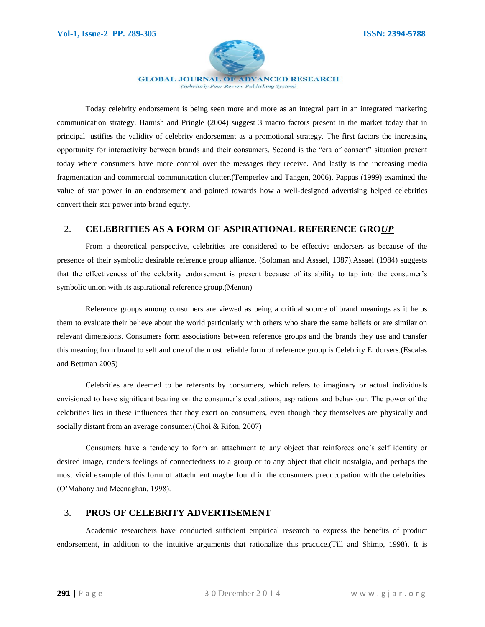

(Scholarly Peer Review Publishing System)

Today celebrity endorsement is being seen more and more as an integral part in an integrated marketing communication strategy. Hamish and Pringle (2004) suggest 3 macro factors present in the market today that in principal justifies the validity of celebrity endorsement as a promotional strategy. The first factors the increasing opportunity for interactivity between brands and their consumers. Second is the "era of consent" situation present today where consumers have more control over the messages they receive. And lastly is the increasing media fragmentation and commercial communication clutter.(Temperley and Tangen, 2006). Pappas (1999) examined the value of star power in an endorsement and pointed towards how a well-designed advertising helped celebrities convert their star power into brand equity.

## 2. **CELEBRITIES AS A FORM OF ASPIRATIONAL REFERENCE GRO***UP*

From a theoretical perspective, celebrities are considered to be effective endorsers as because of the presence of their symbolic desirable reference group alliance. (Soloman and Assael, 1987).Assael (1984) suggests that the effectiveness of the celebrity endorsement is present because of its ability to tap into the consumer"s symbolic union with its aspirational reference group.(Menon)

Reference groups among consumers are viewed as being a critical source of brand meanings as it helps them to evaluate their believe about the world particularly with others who share the same beliefs or are similar on relevant dimensions. Consumers form associations between reference groups and the brands they use and transfer this meaning from brand to self and one of the most reliable form of reference group is Celebrity Endorsers.(Escalas and Bettman 2005)

Celebrities are deemed to be referents by consumers, which refers to imaginary or actual individuals envisioned to have significant bearing on the consumer's evaluations, aspirations and behaviour. The power of the celebrities lies in these influences that they exert on consumers, even though they themselves are physically and socially distant from an average consumer.(Choi & Rifon, 2007)

Consumers have a tendency to form an attachment to any object that reinforces one"s self identity or desired image, renders feelings of connectedness to a group or to any object that elicit nostalgia, and perhaps the most vivid example of this form of attachment maybe found in the consumers preoccupation with the celebrities. (O"Mahony and Meenaghan, 1998).

## 3. **PROS OF CELEBRITY ADVERTISEMENT**

Academic researchers have conducted sufficient empirical research to express the benefits of product endorsement, in addition to the intuitive arguments that rationalize this practice.(Till and Shimp, 1998). It is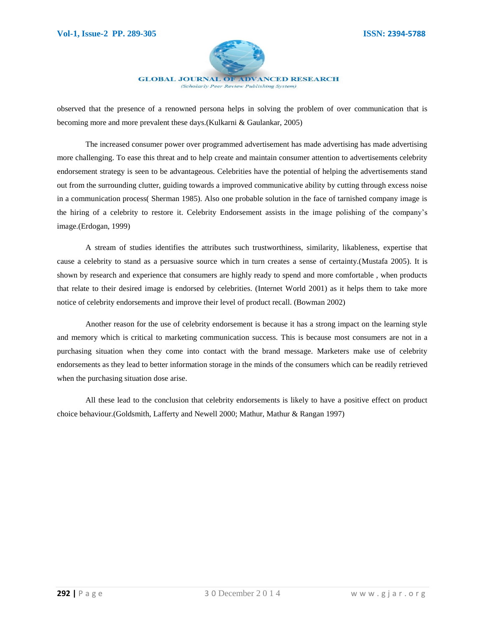

(Scholarly Peer Review Publishing System)

observed that the presence of a renowned persona helps in solving the problem of over communication that is becoming more and more prevalent these days.(Kulkarni & Gaulankar, 2005)

The increased consumer power over programmed advertisement has made advertising has made advertising more challenging. To ease this threat and to help create and maintain consumer attention to advertisements celebrity endorsement strategy is seen to be advantageous. Celebrities have the potential of helping the advertisements stand out from the surrounding clutter, guiding towards a improved communicative ability by cutting through excess noise in a communication process( Sherman 1985). Also one probable solution in the face of tarnished company image is the hiring of a celebrity to restore it. Celebrity Endorsement assists in the image polishing of the company"s image.(Erdogan, 1999)

A stream of studies identifies the attributes such trustworthiness, similarity, likableness, expertise that cause a celebrity to stand as a persuasive source which in turn creates a sense of certainty.(Mustafa 2005). It is shown by research and experience that consumers are highly ready to spend and more comfortable , when products that relate to their desired image is endorsed by celebrities. (Internet World 2001) as it helps them to take more notice of celebrity endorsements and improve their level of product recall. (Bowman 2002)

Another reason for the use of celebrity endorsement is because it has a strong impact on the learning style and memory which is critical to marketing communication success. This is because most consumers are not in a purchasing situation when they come into contact with the brand message. Marketers make use of celebrity endorsements as they lead to better information storage in the minds of the consumers which can be readily retrieved when the purchasing situation dose arise.

All these lead to the conclusion that celebrity endorsements is likely to have a positive effect on product choice behaviour.(Goldsmith, Lafferty and Newell 2000; Mathur, Mathur & Rangan 1997)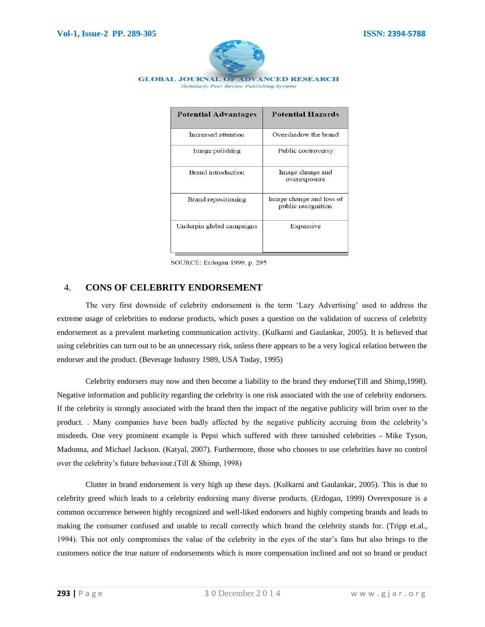

**GLOBAL JOURNAL OF ADVANCED RESEARCH** (Scholarly Peer Review Publishing System)

| <b>Potential Advantages</b> | <b>Potential Hazards</b>                       |
|-----------------------------|------------------------------------------------|
| Increased attention         | Overshadow the brand                           |
| Image polishing             | Public controversy                             |
| Brand introduction          | Image change and<br>overexposure               |
| Brand repositioning         | Image change and loss of<br>public recognition |
| Underpin global campaigns   | Expensive                                      |

SOURCE: Erdogan 1999, p. 295

# 4. **CONS OF CELEBRITY ENDORSEMENT**

The very first downside of celebrity endorsement is the term "Lazy Advertising" used to address the extreme usage of celebrities to endorse products, which poses a question on the validation of success of celebrity endorsement as a prevalent marketing communication activity. (Kulkarni and Gaulankar, 2005). It is believed that using celebrities can turn out to be an unnecessary risk, unless there appears to be a very logical relation between the endorser and the product. (Beverage Industry 1989, USA Today, 1995)

Celebrity endorsers may now and then become a liability to the brand they endorse(Till and Shimp,1998). Negative information and publicity regarding the celebrity is one risk associated with the use of celebrity endorsers. If the celebrity is strongly associated with the brand then the impact of the negative publicity will brim over to the product. . Many companies have been badly affected by the negative publicity accruing from the celebrity"s misdeeds. One very prominent example is Pepsi which suffered with three tarnished celebrities - Mike Tyson, Madonna, and Michael Jackson. (Katyal, 2007). Furthermore, those who chooses to use celebrities have no control over the celebrity"s future behaviour.(Till & Shimp, 1998)

Clutter in brand endorsement is very high up these days. (Kulkarni and Gaulankar, 2005). This is due to celebrity greed which leads to a celebrity endorsing many diverse products. (Erdogan, 1999) Overexposure is a common occurrence between highly recognized and well-liked endorsers and highly competing brands and leads to making the consumer confused and unable to recall correctly which brand the celebrity stands for. (Tripp et.al., 1994). This not only compromises the value of the celebrity in the eyes of the star"s fans but also brings to the customers notice the true nature of endorsements which is more compensation inclined and not so brand or product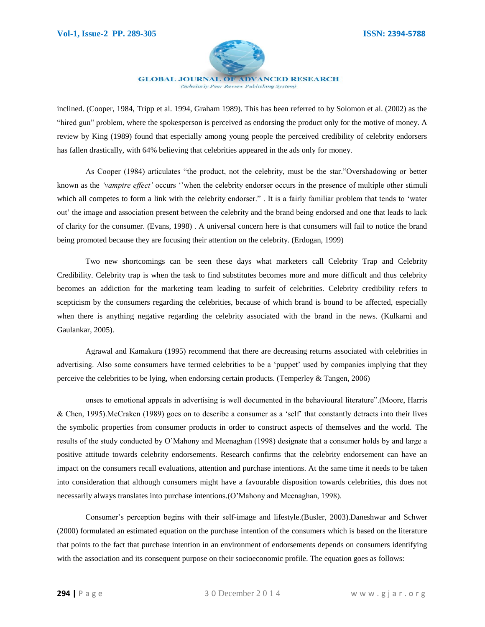

(Scholarly Peer Review Publishing System)

inclined. (Cooper, 1984, Tripp et al. 1994, Graham 1989). This has been referred to by Solomon et al. (2002) as the "hired gun" problem, where the spokesperson is perceived as endorsing the product only for the motive of money. A review by King (1989) found that especially among young people the perceived credibility of celebrity endorsers has fallen drastically, with 64% believing that celebrities appeared in the ads only for money.

As Cooper (1984) articulates "the product, not the celebrity, must be the star."Overshadowing or better known as the *"vampire effect"* occurs ""when the celebrity endorser occurs in the presence of multiple other stimuli which all competes to form a link with the celebrity endorser." . It is a fairly familiar problem that tends to 'water out" the image and association present between the celebrity and the brand being endorsed and one that leads to lack of clarity for the consumer. (Evans, 1998) . A universal concern here is that consumers will fail to notice the brand being promoted because they are focusing their attention on the celebrity. (Erdogan, 1999)

Two new shortcomings can be seen these days what marketers call Celebrity Trap and Celebrity Credibility. Celebrity trap is when the task to find substitutes becomes more and more difficult and thus celebrity becomes an addiction for the marketing team leading to surfeit of celebrities. Celebrity credibility refers to scepticism by the consumers regarding the celebrities, because of which brand is bound to be affected, especially when there is anything negative regarding the celebrity associated with the brand in the news. (Kulkarni and Gaulankar, 2005).

Agrawal and Kamakura (1995) recommend that there are decreasing returns associated with celebrities in advertising. Also some consumers have termed celebrities to be a "puppet" used by companies implying that they perceive the celebrities to be lying, when endorsing certain products. (Temperley & Tangen, 2006)

onses to emotional appeals in advertising is well documented in the behavioural literature".(Moore, Harris & Chen, 1995).McCraken (1989) goes on to describe a consumer as a "self" that constantly detracts into their lives the symbolic properties from consumer products in order to construct aspects of themselves and the world. The results of the study conducted by O"Mahony and Meenaghan (1998) designate that a consumer holds by and large a positive attitude towards celebrity endorsements. Research confirms that the celebrity endorsement can have an impact on the consumers recall evaluations, attention and purchase intentions. At the same time it needs to be taken into consideration that although consumers might have a favourable disposition towards celebrities, this does not necessarily always translates into purchase intentions.(O"Mahony and Meenaghan, 1998).

Consumer"s perception begins with their self-image and lifestyle.(Busler, 2003).Daneshwar and Schwer (2000) formulated an estimated equation on the purchase intention of the consumers which is based on the literature that points to the fact that purchase intention in an environment of endorsements depends on consumers identifying with the association and its consequent purpose on their socioeconomic profile. The equation goes as follows: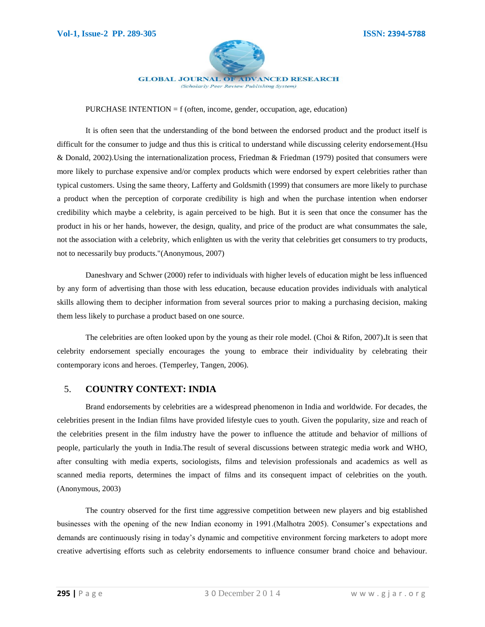

#### PURCHASE INTENTION =  $f$  (often, income, gender, occupation, age, education)

It is often seen that the understanding of the bond between the endorsed product and the product itself is difficult for the consumer to judge and thus this is critical to understand while discussing celerity endorsement.(Hsu & Donald, 2002).Using the internationalization process, Friedman & Friedman (1979) posited that consumers were more likely to purchase expensive and/or complex products which were endorsed by expert celebrities rather than typical customers. Using the same theory, Lafferty and Goldsmith (1999) that consumers are more likely to purchase a product when the perception of corporate credibility is high and when the purchase intention when endorser credibility which maybe a celebrity, is again perceived to be high. But it is seen that once the consumer has the product in his or her hands, however, the design, quality, and price of the product are what consummates the sale, not the association with a celebrity, which enlighten us with the verity that celebrities get consumers to try products, not to necessarily buy products."(Anonymous, 2007)

Daneshvary and Schwer (2000) refer to individuals with higher levels of education might be less influenced by any form of advertising than those with less education, because education provides individuals with analytical skills allowing them to decipher information from several sources prior to making a purchasing decision, making them less likely to purchase a product based on one source.

The celebrities are often looked upon by the young as their role model. (Choi & Rifon, 2007)**.**It is seen that celebrity endorsement specially encourages the young to embrace their individuality by celebrating their contemporary icons and heroes. (Temperley, Tangen, 2006).

## 5. **COUNTRY CONTEXT: INDIA**

Brand endorsements by celebrities are a widespread phenomenon in India and worldwide. For decades, the celebrities present in the Indian films have provided lifestyle cues to youth. Given the popularity, size and reach of the celebrities present in the film industry have the power to influence the attitude and behavior of millions of people, particularly the youth in India.The result of several discussions between strategic media work and WHO, after consulting with media experts, sociologists, films and television professionals and academics as well as scanned media reports, determines the impact of films and its consequent impact of celebrities on the youth. (Anonymous, 2003)

The country observed for the first time aggressive competition between new players and big established businesses with the opening of the new Indian economy in 1991.(Malhotra 2005). Consumer"s expectations and demands are continuously rising in today"s dynamic and competitive environment forcing marketers to adopt more creative advertising efforts such as celebrity endorsements to influence consumer brand choice and behaviour.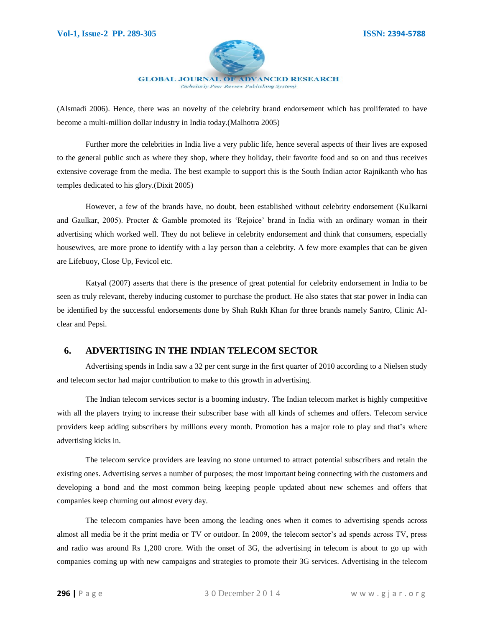

**GLOBAL JOURNAL OF ADVANCED RESEARCH** (Scholarly Peer Review Publishing System)

(Alsmadi 2006). Hence, there was an novelty of the celebrity brand endorsement which has proliferated to have become a multi-million dollar industry in India today.(Malhotra 2005)

Further more the celebrities in India live a very public life, hence several aspects of their lives are exposed to the general public such as where they shop, where they holiday, their favorite food and so on and thus receives extensive coverage from the media. The best example to support this is the South Indian actor Rajnikanth who has temples dedicated to his glory.(Dixit 2005)

However, a few of the brands have, no doubt, been established without celebrity endorsement (Kulkarni and Gaulkar, 2005). Procter & Gamble promoted its "Rejoice" brand in India with an ordinary woman in their advertising which worked well. They do not believe in celebrity endorsement and think that consumers, especially housewives, are more prone to identify with a lay person than a celebrity. A few more examples that can be given are Lifebuoy, Close Up, Fevicol etc.

Katyal (2007) asserts that there is the presence of great potential for celebrity endorsement in India to be seen as truly relevant, thereby inducing customer to purchase the product. He also states that star power in India can be identified by the successful endorsements done by Shah Rukh Khan for three brands namely Santro, Clinic Alclear and Pepsi.

# **6. ADVERTISING IN THE INDIAN TELECOM SECTOR**

Advertising spends in India saw a 32 per cent surge in the first quarter of 2010 according to a Nielsen study and telecom sector had major contribution to make to this growth in advertising.

The Indian telecom services sector is a booming industry. The Indian telecom market is highly competitive with all the players trying to increase their subscriber base with all kinds of schemes and offers. Telecom service providers keep adding subscribers by millions every month. Promotion has a major role to play and that"s where advertising kicks in.

The telecom service providers are leaving no stone unturned to attract potential subscribers and retain the existing ones. Advertising serves a number of purposes; the most important being connecting with the customers and developing a bond and the most common being keeping people updated about new schemes and offers that companies keep churning out almost every day.

The telecom companies have been among the leading ones when it comes to advertising spends across almost all media be it the print media or TV or outdoor. In 2009, the telecom sector's ad spends across TV, press and radio was around Rs 1,200 crore. With the onset of 3G, the advertising in telecom is about to go up with companies coming up with new campaigns and strategies to promote their 3G services. Advertising in the telecom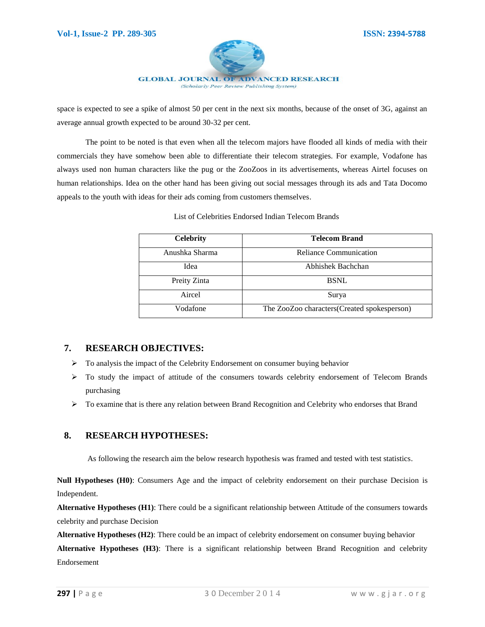

space is expected to see a spike of almost 50 per cent in the next six months, because of the onset of 3G, against an average annual growth expected to be around 30-32 per cent.

The point to be noted is that even when all the telecom majors have flooded all kinds of media with their commercials they have somehow been able to differentiate their telecom strategies. For example, Vodafone has always used non human characters like the pug or the ZooZoos in its advertisements, whereas Airtel focuses on human relationships. Idea on the other hand has been giving out social messages through its ads and Tata Docomo appeals to the youth with ideas for their ads coming from customers themselves.

| <b>Celebrity</b> | <b>Telecom Brand</b>                        |
|------------------|---------------------------------------------|
| Anushka Sharma   | Reliance Communication                      |
| Idea             | Abhishek Bachchan                           |
| Preity Zinta     | <b>BSNL</b>                                 |
| Aircel           | Surya                                       |
| Vodafone         | The ZooZoo characters(Created spokesperson) |

List of Celebrities Endorsed Indian Telecom Brands

# **7. RESEARCH OBJECTIVES:**

- $\triangleright$  To analysis the impact of the Celebrity Endorsement on consumer buying behavior
- $\triangleright$  To study the impact of attitude of the consumers towards celebrity endorsement of Telecom Brands purchasing
- $\triangleright$  To examine that is there any relation between Brand Recognition and Celebrity who endorses that Brand

# **8. RESEARCH HYPOTHESES:**

As following the research aim the below research hypothesis was framed and tested with test statistics.

**Null Hypotheses (H0)**: Consumers Age and the impact of celebrity endorsement on their purchase Decision is Independent.

**Alternative Hypotheses (H1)**: There could be a significant relationship between Attitude of the consumers towards celebrity and purchase Decision

**Alternative Hypotheses (H2)**: There could be an impact of celebrity endorsement on consumer buying behavior **Alternative Hypotheses (H3)**: There is a significant relationship between Brand Recognition and celebrity

Endorsement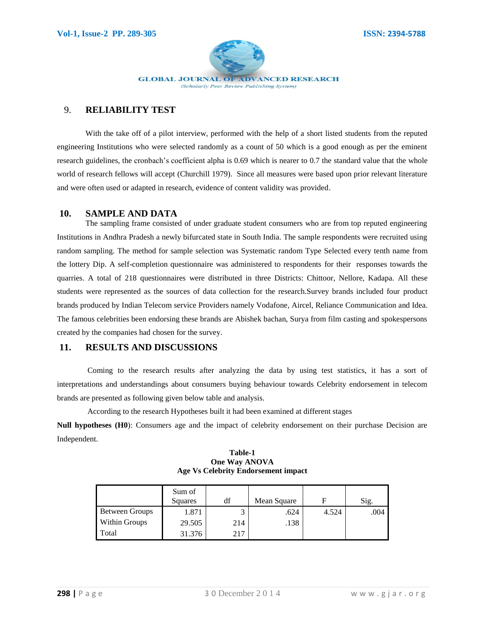

## 9. **RELIABILITY TEST**

With the take off of a pilot interview, performed with the help of a short listed students from the reputed engineering Institutions who were selected randomly as a count of 50 which is a good enough as per the eminent research guidelines, the cronbach's coefficient alpha is 0.69 which is nearer to 0.7 the standard value that the whole world of research fellows will accept (Churchill 1979). Since all measures were based upon prior relevant literature and were often used or adapted in research, evidence of content validity was provided.

#### **10. SAMPLE AND DATA**

The sampling frame consisted of under graduate student consumers who are from top reputed engineering Institutions in Andhra Pradesh a newly bifurcated state in South India. The sample respondents were recruited using random sampling. The method for sample selection was Systematic random Type Selected every tenth name from the lottery Dip. A self-completion questionnaire was administered to respondents for their responses towards the quarries. A total of 218 questionnaires were distributed in three Districts: Chittoor, Nellore, Kadapa. All these students were represented as the sources of data collection for the research.Survey brands included four product brands produced by Indian Telecom service Providers namely Vodafone, Aircel, Reliance Communication and Idea. The famous celebrities been endorsing these brands are Abishek bachan, Surya from film casting and spokespersons created by the companies had chosen for the survey.

## **11. RESULTS AND DISCUSSIONS**

Coming to the research results after analyzing the data by using test statistics, it has a sort of interpretations and understandings about consumers buying behaviour towards Celebrity endorsement in telecom brands are presented as following given below table and analysis.

According to the research Hypotheses built it had been examined at different stages

**Null hypotheses (H0**): Consumers age and the impact of celebrity endorsement on their purchase Decision are Independent.

#### **Table-1 One Way ANOVA Age Vs Celebrity Endorsement impact**

|                       | Sum of<br>Squares | df  | Mean Square | F     | Sig. |
|-----------------------|-------------------|-----|-------------|-------|------|
| <b>Between Groups</b> | 1.871             |     | .624        | 4.524 | .004 |
| <b>Within Groups</b>  | 29.505            | 214 | .138        |       |      |
| Total                 | 31.376            | 217 |             |       |      |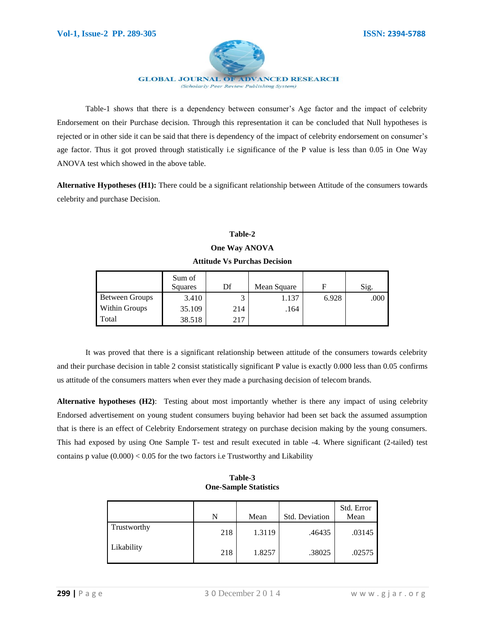

Table-1 shows that there is a dependency between consumer"s Age factor and the impact of celebrity Endorsement on their Purchase decision. Through this representation it can be concluded that Null hypotheses is rejected or in other side it can be said that there is dependency of the impact of celebrity endorsement on consumer's age factor. Thus it got proved through statistically i.e significance of the P value is less than 0.05 in One Way ANOVA test which showed in the above table.

**Alternative Hypotheses (H1):** There could be a significant relationship between Attitude of the consumers towards celebrity and purchase Decision.

#### **Table-2**

#### **One Way ANOVA**

#### **Attitude Vs Purchas Decision**

|                      | Sum of<br>Squares | Df  | Mean Square | F     | Sig. |
|----------------------|-------------------|-----|-------------|-------|------|
| Between Groups       | 3.410             |     | 1.137       | 6.928 | .000 |
| <b>Within Groups</b> | 35.109            | 214 | .164        |       |      |
| Total                | 38.518            | 217 |             |       |      |

It was proved that there is a significant relationship between attitude of the consumers towards celebrity and their purchase decision in table 2 consist statistically significant P value is exactly 0.000 less than 0.05 confirms us attitude of the consumers matters when ever they made a purchasing decision of telecom brands.

**Alternative hypotheses (H2)**: Testing about most importantly whether is there any impact of using celebrity Endorsed advertisement on young student consumers buying behavior had been set back the assumed assumption that is there is an effect of Celebrity Endorsement strategy on purchase decision making by the young consumers. This had exposed by using One Sample T- test and result executed in table -4. Where significant (2-tailed) test contains p value  $(0.000)$  < 0.05 for the two factors i.e Trustworthy and Likability

|             | N   | Mean   | <b>Std. Deviation</b> | Std. Error<br>Mean |
|-------------|-----|--------|-----------------------|--------------------|
| Trustworthy | 218 | 1.3119 | .46435                | .03145             |
| Likability  | 218 | 1.8257 | .38025                | .02575             |

**Table-3 One-Sample Statistics**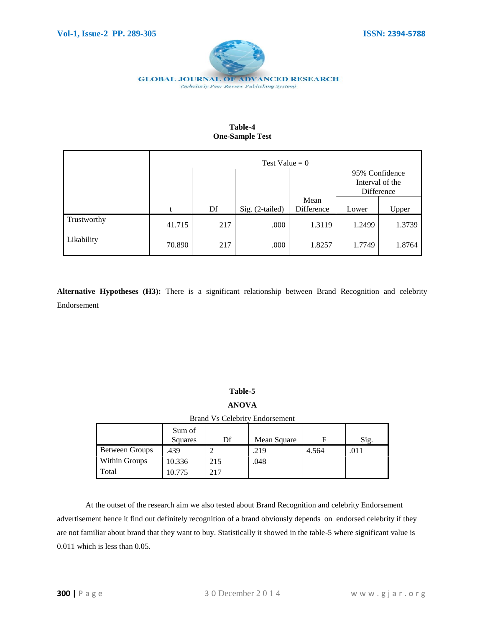

| Table-4                |  |  |  |  |
|------------------------|--|--|--|--|
| <b>One-Sample Test</b> |  |  |  |  |

|             | Test Value = $0$ |     |                 |                    |        |                                   |
|-------------|------------------|-----|-----------------|--------------------|--------|-----------------------------------|
|             |                  |     |                 |                    |        | 95% Confidence<br>Interval of the |
|             |                  |     |                 |                    |        | Difference                        |
|             | t                | Df  | Sig. (2-tailed) | Mean<br>Difference | Lower  | Upper                             |
| Trustworthy | 41.715           | 217 | .000            | 1.3119             | 1.2499 | 1.3739                            |
| Likability  | 70.890           | 217 | .000            | 1.8257             | 1.7749 | 1.8764                            |

**Alternative Hypotheses (H3):** There is a significant relationship between Brand Recognition and celebrity Endorsement

# **Table-5**

# **ANOVA**

Brand Vs Celebrity Endorsement

|                       | Sum of<br>Squares | Df  | Mean Square | F     | Sig. |
|-----------------------|-------------------|-----|-------------|-------|------|
| <b>Between Groups</b> | .439              |     | .219        | 4.564 | 011  |
| <b>Within Groups</b>  | 10.336            | 215 | .048        |       |      |
| Total                 | 10.775            | 217 |             |       |      |

At the outset of the research aim we also tested about Brand Recognition and celebrity Endorsement advertisement hence it find out definitely recognition of a brand obviously depends on endorsed celebrity if they are not familiar about brand that they want to buy. Statistically it showed in the table-5 where significant value is 0.011 which is less than 0.05.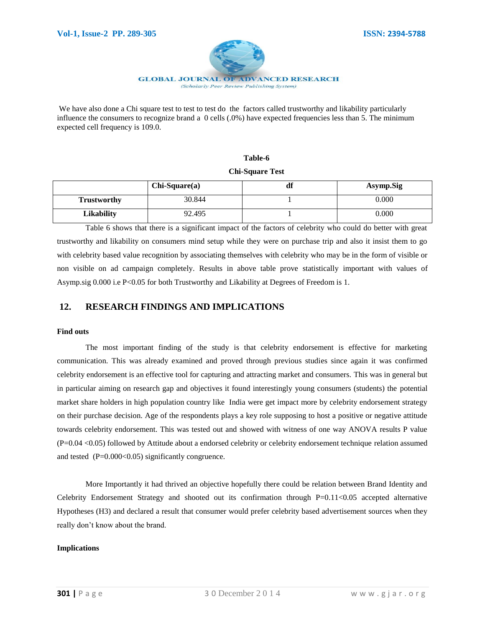

We have also done a Chi square test to test to test do the factors called trustworthy and likability particularly influence the consumers to recognize brand a 0 cells (.0%) have expected frequencies less than 5. The minimum expected cell frequency is 109.0.

# **Table-6**

#### **Chi-Square Test**

|                    | $Chi-Square(a)$ | зe<br>di | Asymp.Sig |
|--------------------|-----------------|----------|-----------|
| <b>Trustworthy</b> | 30.844          |          | 0.000     |
| <b>Likability</b>  | 92.495          |          | 0.000     |

Table 6 shows that there is a significant impact of the factors of celebrity who could do better with great trustworthy and likability on consumers mind setup while they were on purchase trip and also it insist them to go with celebrity based value recognition by associating themselves with celebrity who may be in the form of visible or non visible on ad campaign completely. Results in above table prove statistically important with values of Asymp.sig 0.000 i.e P<0.05 for both Trustworthy and Likability at Degrees of Freedom is 1.

## **12. RESEARCH FINDINGS AND IMPLICATIONS**

#### **Find outs**

The most important finding of the study is that celebrity endorsement is effective for marketing communication. This was already examined and proved through previous studies since again it was confirmed celebrity endorsement is an effective tool for capturing and attracting market and consumers. This was in general but in particular aiming on research gap and objectives it found interestingly young consumers (students) the potential market share holders in high population country like India were get impact more by celebrity endorsement strategy on their purchase decision. Age of the respondents plays a key role supposing to host a positive or negative attitude towards celebrity endorsement. This was tested out and showed with witness of one way ANOVA results P value (P=0.04 <0.05) followed by Attitude about a endorsed celebrity or celebrity endorsement technique relation assumed and tested  $(P=0.000<0.05)$  significantly congruence.

More Importantly it had thrived an objective hopefully there could be relation between Brand Identity and Celebrity Endorsement Strategy and shooted out its confirmation through P=0.11<0.05 accepted alternative Hypotheses (H3) and declared a result that consumer would prefer celebrity based advertisement sources when they really don"t know about the brand.

#### **Implications**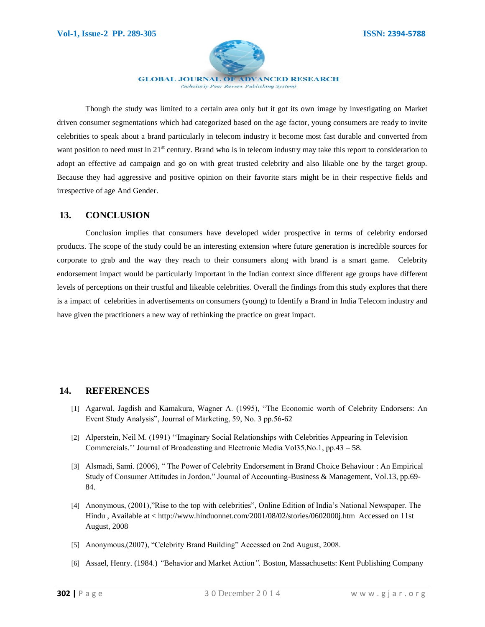

(Scholarly Peer Review Publishing System)

Though the study was limited to a certain area only but it got its own image by investigating on Market driven consumer segmentations which had categorized based on the age factor, young consumers are ready to invite celebrities to speak about a brand particularly in telecom industry it become most fast durable and converted from want position to need must in  $21<sup>st</sup>$  century. Brand who is in telecom industry may take this report to consideration to adopt an effective ad campaign and go on with great trusted celebrity and also likable one by the target group. Because they had aggressive and positive opinion on their favorite stars might be in their respective fields and irrespective of age And Gender.

#### **13. CONCLUSION**

Conclusion implies that consumers have developed wider prospective in terms of celebrity endorsed products. The scope of the study could be an interesting extension where future generation is incredible sources for corporate to grab and the way they reach to their consumers along with brand is a smart game. Celebrity endorsement impact would be particularly important in the Indian context since different age groups have different levels of perceptions on their trustful and likeable celebrities. Overall the findings from this study explores that there is a impact of celebrities in advertisements on consumers (young) to Identify a Brand in India Telecom industry and have given the practitioners a new way of rethinking the practice on great impact.

## **14. REFERENCES**

- [1] Agarwal, Jagdish and Kamakura, Wagner A. (1995), "The Economic worth of Celebrity Endorsers: An Event Study Analysis", Journal of Marketing, 59, No. 3 pp.56-62
- [2] Alperstein, Neil M. (1991) ""Imaginary Social Relationships with Celebrities Appearing in Television Commercials."" Journal of Broadcasting and Electronic Media Vol35,No.1, pp.43 – 58.
- [3] Alsmadi, Sami. (2006), " The Power of Celebrity Endorsement in Brand Choice Behaviour : An Empirical Study of Consumer Attitudes in Jordon," Journal of Accounting-Business & Management, Vol.13, pp.69- 84.
- [4] Anonymous, (2001),"Rise to the top with celebrities", Online Edition of India"s National Newspaper. The Hindu , Available at < http://www.hinduonnet.com/2001/08/02/stories/0602000j.htm Accessed on 11st August, 2008
- [5] Anonymous,(2007), "Celebrity Brand Building" Accessed on 2nd August, 2008.
- [6] Assael, Henry. (1984.) *"*Behavior and Market Action*".* Boston, Massachusetts: Kent Publishing Company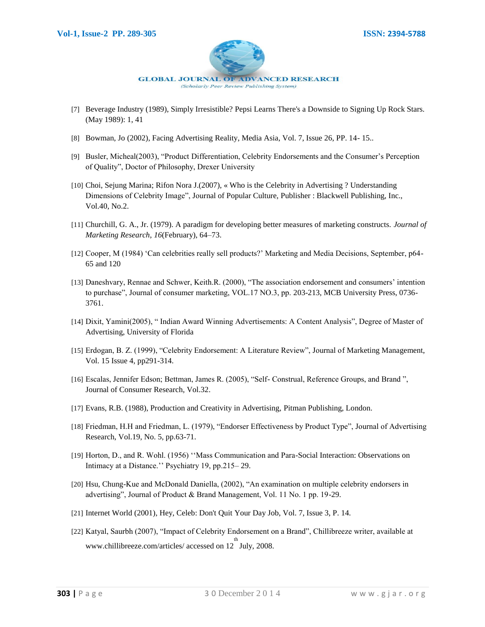

- [7] Beverage Industry (1989), Simply Irresistible? Pepsi Learns There's a Downside to Signing Up Rock Stars. (May 1989): 1, 41
- [8] Bowman, Jo (2002), Facing Advertising Reality, Media Asia, Vol. 7, Issue 26, PP. 14- 15..
- [9] Busler, Micheal(2003), "Product Differentiation, Celebrity Endorsements and the Consumer"s Perception of Quality", Doctor of Philosophy, Drexer University
- [10] Choi, Sejung Marina; Rifon Nora J.(2007), « Who is the Celebrity in Advertising ? Understanding Dimensions of Celebrity Image", Journal of Popular Culture, Publisher : Blackwell Publishing, Inc., Vol.40, No.2.
- [11] Churchill, G. A., Jr. (1979). A paradigm for developing better measures of marketing constructs. *Journal of Marketing Research*, *16*(February), 64–73.
- [12] Cooper, M (1984) "Can celebrities really sell products?" Marketing and Media Decisions, September, p64- 65 and 120
- [13] Daneshvary, Rennae and Schwer, Keith.R. (2000), "The association endorsement and consumers" intention to purchase", Journal of consumer marketing, VOL.17 NO.3, pp. 203-213, MCB University Press, 0736- 3761.
- [14] Dixit, Yamini(2005), " Indian Award Winning Advertisements: A Content Analysis", Degree of Master of Advertising, University of Florida
- [15] Erdogan, B. Z. (1999), "Celebrity Endorsement: A Literature Review", Journal of Marketing Management, Vol. 15 Issue 4, pp291-314.
- [16] Escalas, Jennifer Edson; Bettman, James R. (2005), "Self- Construal, Reference Groups, and Brand ", Journal of Consumer Research, Vol.32.
- [17] Evans, R.B. (1988), Production and Creativity in Advertising, Pitman Publishing, London.
- [18] Friedman, H.H and Friedman, L. (1979), "Endorser Effectiveness by Product Type", Journal of Advertising Research, Vol.19, No. 5, pp.63-71.
- [19] Horton, D., and R. Wohl. (1956) ""Mass Communication and Para-Social Interaction: Observations on Intimacy at a Distance."" Psychiatry 19, pp.215– 29.
- [20] Hsu, Chung-Kue and McDonald Daniella, (2002), "An examination on multiple celebrity endorsers in advertising", Journal of Product & Brand Management, Vol. 11 No. 1 pp. 19-29.
- [21] Internet World (2001), Hey, Celeb: Don't Quit Your Day Job, Vol. 7, Issue 3, P. 14.
- [22] Katyal, Saurbh (2007), "Impact of Celebrity Endorsement on a Brand", Chillibreeze writer, available at www.chillibreeze.com/articles/ accessed on 12 July, 2008.th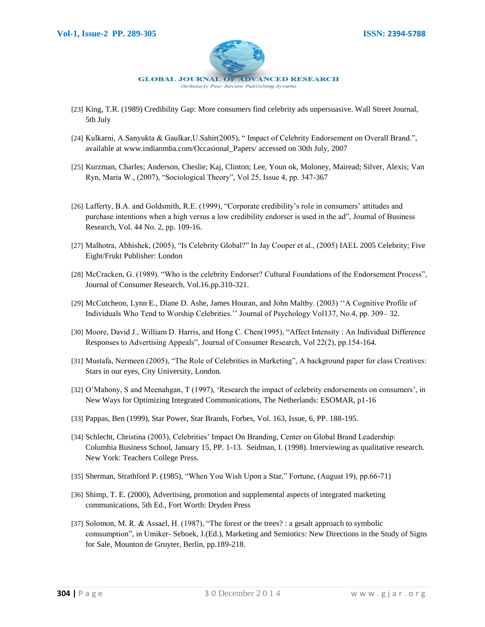

- [23] King, T.R. (1989) Credibility Gap: More consumers find celebrity ads unpersuasive. Wall Street Journal, 5th July
- [24] Kulkarni, A.Sanyukta & Gaulkar,U.Sahir(2005), " Impact of Celebrity Endorsement on Overall Brand.", available at www.indianmba.com/Occasional\_Papers/ accessed on 30th July, 2007
- [25] Kurzman, Charles; Anderson, Cheslie; Kaj, Clinton; Lee, Youn ok, Moloney, Mairead; Silver, Alexis; Van Ryn, Maria W., (2007), "Sociological Theory", Vol 25, Issue 4, pp. 347-367
- [26] Lafferty, B.A. and Goldsmith, R.E. (1999), "Corporate credibility's role in consumers' attitudes and purchase intentions when a high versus a low credibility endorser is used in the ad", Journal of Business Research, Vol. 44 No. 2, pp. 109-16.
- [27] Malhotra, Abhishek, (2005), "Is Celebrity Global?" In Jay Cooper et al., (2005) IAEL 2005 Celebrity; Five Eight/Frukt Publisher: London
- [28] McCracken, G. (1989). "Who is the celebrity Endorser? Cultural Foundations of the Endorsement Process", Journal of Consumer Research, Vol.16.pp.310-321.
- [29] McCutcheon, Lynn E., Diane D. Ashe, James Houran, and John Maltby. (2003) ""A Cognitive Profile of Individuals Who Tend to Worship Celebrities."" Journal of Psychology Vol137, No.4, pp. 309– 32.
- [30] Moore, David J., William D. Harris, and Hong C. Chen(1995), "Affect Intensity : An Individual Difference Responses to Advertising Appeals", Journal of Consumer Research, Vol 22(2), pp.154-164.
- [31] Mustafa, Nermeen (2005), "The Role of Celebrities in Marketing", A background paper for class Creatives: Stars in our eyes, City University, London.
- [32] O'Mahony, S and Meenahgan, T (1997), 'Research the impact of celebrity endorsements on consumers', in New Ways for Optimizing Integrated Communications, The Netherlands: ESOMAR, p1-16
- [33] Pappas, Ben (1999), Star Power, Star Brands, Forbes, Vol. 163, Issue, 6, PP. 188-195.
- [34] Schlecht, Christina (2003), Celebrities' Impact On Branding, Center on Global Brand Leadership: Columbia Business School, January 15, PP. 1-13. Seidman, I. (1998). Interviewing as qualitative research. New York: Teachers College Press.
- [35] Sherman, Strathford P. (1985), "When You Wish Upon a Star," Fortune, (August 19), pp.66-71)
- [36] Shimp, T. E. (2000), Advertising, promotion and supplemental aspects of integrated marketing communications, 5th Ed., Fort Worth: Dryden Press
- [37] Solomon, M. R. & Assael, H. (1987), "The forest or the trees? : a gesalt approach to symbolic comsumption", in Umiker- Seboek, J.(Ed.), Marketing and Semiotics: New Directions in the Study of Signs for Sale, Mounton de Gruyter, Berlin, pp.189-218.